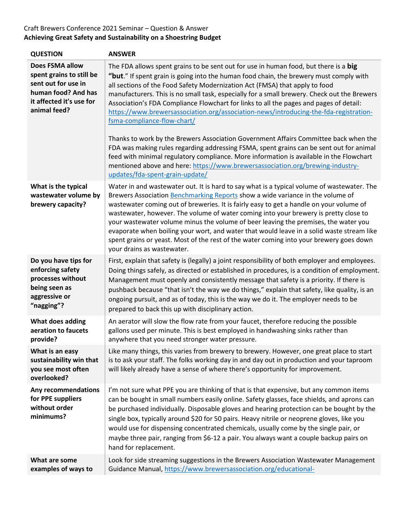## Craft Brewers Conference 2021 Seminar – Question & Answer **Achieving Great Safety and Sustainability on a Shoestring Budget**

| <b>QUESTION</b>                                                                                                                              | <b>ANSWER</b>                                                                                                                                                                                                                                                                                                                                                                                                                                                                                                                                                                                                                                                                                                                                                                                                                                                                                                                                                                     |
|----------------------------------------------------------------------------------------------------------------------------------------------|-----------------------------------------------------------------------------------------------------------------------------------------------------------------------------------------------------------------------------------------------------------------------------------------------------------------------------------------------------------------------------------------------------------------------------------------------------------------------------------------------------------------------------------------------------------------------------------------------------------------------------------------------------------------------------------------------------------------------------------------------------------------------------------------------------------------------------------------------------------------------------------------------------------------------------------------------------------------------------------|
| <b>Does FSMA allow</b><br>spent grains to still be<br>sent out for use in<br>human food? And has<br>it affected it's use for<br>animal feed? | The FDA allows spent grains to be sent out for use in human food, but there is a big<br>"but." If spent grain is going into the human food chain, the brewery must comply with<br>all sections of the Food Safety Modernization Act (FMSA) that apply to food<br>manufacturers. This is no small task, especially for a small brewery. Check out the Brewers<br>Association's FDA Compliance Flowchart for links to all the pages and pages of detail:<br>https://www.brewersassociation.org/association-news/introducing-the-fda-registration-<br>fsma-compliance-flow-chart/<br>Thanks to work by the Brewers Association Government Affairs Committee back when the<br>FDA was making rules regarding addressing FSMA, spent grains can be sent out for animal<br>feed with minimal regulatory compliance. More information is available in the Flowchart<br>mentioned above and here: https://www.brewersassociation.org/brewing-industry-<br>updates/fda-spent-grain-update/ |
| What is the typical<br>wastewater volume by<br>brewery capacity?                                                                             | Water in and wastewater out. It is hard to say what is a typical volume of wastewater. The<br>Brewers Association Benchmarking Reports show a wide variance in the volume of<br>wastewater coming out of breweries. It is fairly easy to get a handle on your volume of<br>wastewater, however. The volume of water coming into your brewery is pretty close to<br>your wastewater volume minus the volume of beer leaving the premises, the water you<br>evaporate when boiling your wort, and water that would leave in a solid waste stream like<br>spent grains or yeast. Most of the rest of the water coming into your brewery goes down<br>your drains as wastewater.                                                                                                                                                                                                                                                                                                      |
| Do you have tips for<br>enforcing safety<br>processes without<br>being seen as<br>aggressive or<br>"nagging"?                                | First, explain that safety is (legally) a joint responsibility of both employer and employees.<br>Doing things safely, as directed or established in procedures, is a condition of employment.<br>Management must openly and consistently message that safety is a priority. If there is<br>pushback because "that isn't the way we do things," explain that safety, like quality, is an<br>ongoing pursuit, and as of today, this is the way we do it. The employer needs to be<br>prepared to back this up with disciplinary action.                                                                                                                                                                                                                                                                                                                                                                                                                                            |
| What does adding<br>aeration to faucets<br>provide?                                                                                          | An aerator will slow the flow rate from your faucet, therefore reducing the possible<br>gallons used per minute. This is best employed in handwashing sinks rather than<br>anywhere that you need stronger water pressure.                                                                                                                                                                                                                                                                                                                                                                                                                                                                                                                                                                                                                                                                                                                                                        |
| What is an easy<br>sustainability win that<br>you see most often<br>overlooked?                                                              | Like many things, this varies from brewery to brewery. However, one great place to start<br>is to ask your staff. The folks working day in and day out in production and your taproom<br>will likely already have a sense of where there's opportunity for improvement.                                                                                                                                                                                                                                                                                                                                                                                                                                                                                                                                                                                                                                                                                                           |
| Any recommendations<br>for PPE suppliers<br>without order<br>minimums?                                                                       | I'm not sure what PPE you are thinking of that is that expensive, but any common items<br>can be bought in small numbers easily online. Safety glasses, face shields, and aprons can<br>be purchased individually. Disposable gloves and hearing protection can be bought by the<br>single box, typically around \$20 for 50 pairs. Heavy nitrile or neoprene gloves, like you<br>would use for dispensing concentrated chemicals, usually come by the single pair, or<br>maybe three pair, ranging from \$6-12 a pair. You always want a couple backup pairs on<br>hand for replacement.                                                                                                                                                                                                                                                                                                                                                                                         |
| What are some<br>examples of ways to                                                                                                         | Look for side streaming suggestions in the Brewers Association Wastewater Management<br>Guidance Manual, https://www.brewersassociation.org/educational-                                                                                                                                                                                                                                                                                                                                                                                                                                                                                                                                                                                                                                                                                                                                                                                                                          |